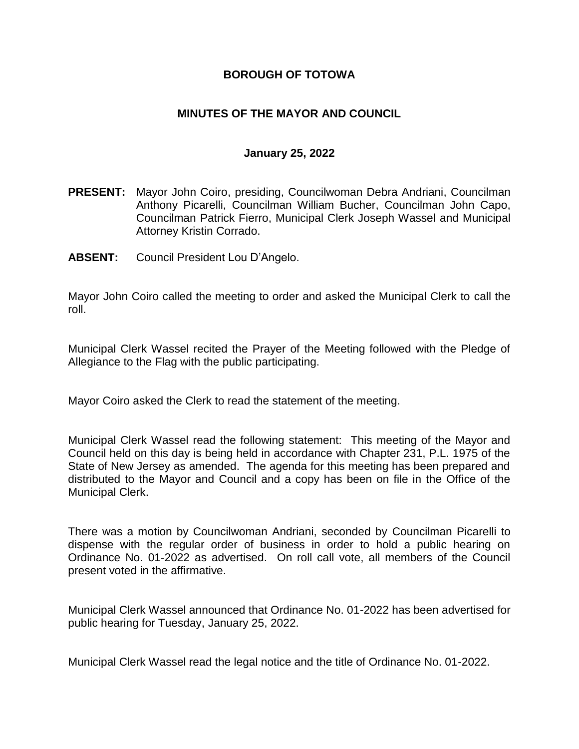## **BOROUGH OF TOTOWA**

## **MINUTES OF THE MAYOR AND COUNCIL**

#### **January 25, 2022**

- **PRESENT:** Mayor John Coiro, presiding, Councilwoman Debra Andriani, Councilman Anthony Picarelli, Councilman William Bucher, Councilman John Capo, Councilman Patrick Fierro, Municipal Clerk Joseph Wassel and Municipal Attorney Kristin Corrado.
- **ABSENT:** Council President Lou D'Angelo.

Mayor John Coiro called the meeting to order and asked the Municipal Clerk to call the roll.

Municipal Clerk Wassel recited the Prayer of the Meeting followed with the Pledge of Allegiance to the Flag with the public participating.

Mayor Coiro asked the Clerk to read the statement of the meeting.

Municipal Clerk Wassel read the following statement: This meeting of the Mayor and Council held on this day is being held in accordance with Chapter 231, P.L. 1975 of the State of New Jersey as amended. The agenda for this meeting has been prepared and distributed to the Mayor and Council and a copy has been on file in the Office of the Municipal Clerk.

There was a motion by Councilwoman Andriani, seconded by Councilman Picarelli to dispense with the regular order of business in order to hold a public hearing on Ordinance No. 01-2022 as advertised. On roll call vote, all members of the Council present voted in the affirmative.

Municipal Clerk Wassel announced that Ordinance No. 01-2022 has been advertised for public hearing for Tuesday, January 25, 2022.

Municipal Clerk Wassel read the legal notice and the title of Ordinance No. 01-2022.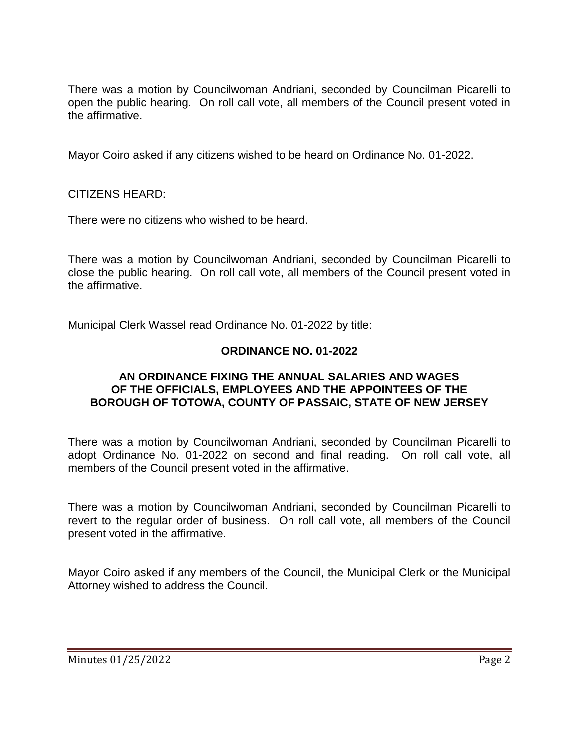There was a motion by Councilwoman Andriani, seconded by Councilman Picarelli to open the public hearing. On roll call vote, all members of the Council present voted in the affirmative.

Mayor Coiro asked if any citizens wished to be heard on Ordinance No. 01-2022.

CITIZENS HEARD:

There were no citizens who wished to be heard.

There was a motion by Councilwoman Andriani, seconded by Councilman Picarelli to close the public hearing. On roll call vote, all members of the Council present voted in the affirmative.

Municipal Clerk Wassel read Ordinance No. 01-2022 by title:

# **ORDINANCE NO. 01-2022**

### **AN ORDINANCE FIXING THE ANNUAL SALARIES AND WAGES OF THE OFFICIALS, EMPLOYEES AND THE APPOINTEES OF THE BOROUGH OF TOTOWA, COUNTY OF PASSAIC, STATE OF NEW JERSEY**

There was a motion by Councilwoman Andriani, seconded by Councilman Picarelli to adopt Ordinance No. 01-2022 on second and final reading. On roll call vote, all members of the Council present voted in the affirmative.

There was a motion by Councilwoman Andriani, seconded by Councilman Picarelli to revert to the regular order of business. On roll call vote, all members of the Council present voted in the affirmative.

Mayor Coiro asked if any members of the Council, the Municipal Clerk or the Municipal Attorney wished to address the Council.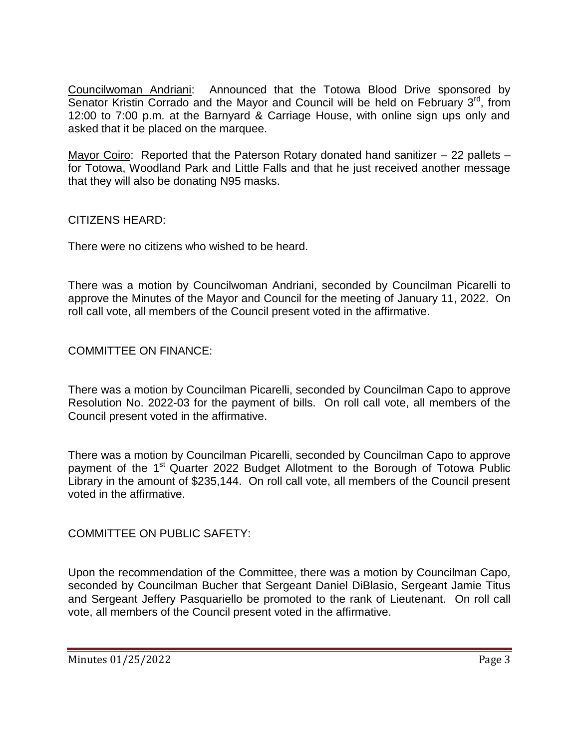Councilwoman Andriani: Announced that the Totowa Blood Drive sponsored by Senator Kristin Corrado and the Mayor and Council will be held on February  $3<sup>rd</sup>$ , from 12:00 to 7:00 p.m. at the Barnyard & Carriage House, with online sign ups only and asked that it be placed on the marquee.

Mayor Coiro: Reported that the Paterson Rotary donated hand sanitizer – 22 pallets – for Totowa, Woodland Park and Little Falls and that he just received another message that they will also be donating N95 masks.

CITIZENS HEARD:

There were no citizens who wished to be heard.

There was a motion by Councilwoman Andriani, seconded by Councilman Picarelli to approve the Minutes of the Mayor and Council for the meeting of January 11, 2022. On roll call vote, all members of the Council present voted in the affirmative.

## COMMITTEE ON FINANCE:

There was a motion by Councilman Picarelli, seconded by Councilman Capo to approve Resolution No. 2022-03 for the payment of bills. On roll call vote, all members of the Council present voted in the affirmative.

There was a motion by Councilman Picarelli, seconded by Councilman Capo to approve payment of the 1<sup>st</sup> Quarter 2022 Budget Allotment to the Borough of Totowa Public Library in the amount of \$235,144. On roll call vote, all members of the Council present voted in the affirmative.

COMMITTEE ON PUBLIC SAFETY:

Upon the recommendation of the Committee, there was a motion by Councilman Capo, seconded by Councilman Bucher that Sergeant Daniel DiBlasio, Sergeant Jamie Titus and Sergeant Jeffery Pasquariello be promoted to the rank of Lieutenant. On roll call vote, all members of the Council present voted in the affirmative.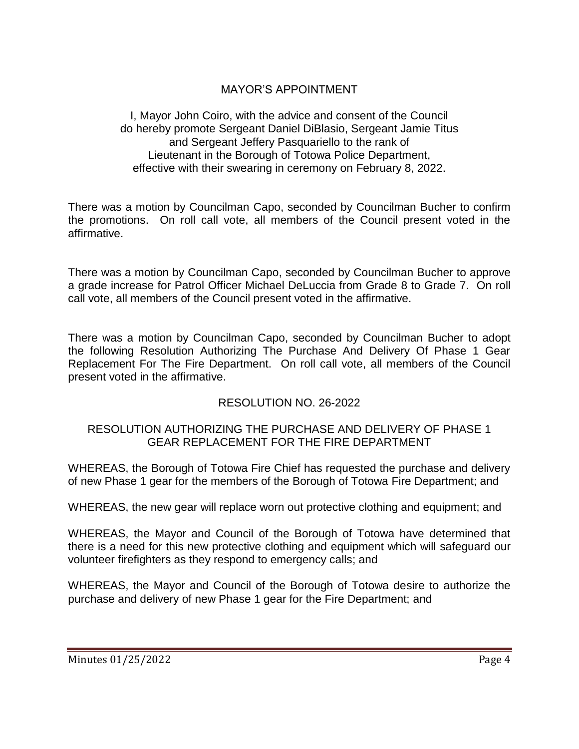# MAYOR'S APPOINTMENT

I, Mayor John Coiro, with the advice and consent of the Council do hereby promote Sergeant Daniel DiBlasio, Sergeant Jamie Titus and Sergeant Jeffery Pasquariello to the rank of Lieutenant in the Borough of Totowa Police Department, effective with their swearing in ceremony on February 8, 2022.

There was a motion by Councilman Capo, seconded by Councilman Bucher to confirm the promotions. On roll call vote, all members of the Council present voted in the affirmative.

There was a motion by Councilman Capo, seconded by Councilman Bucher to approve a grade increase for Patrol Officer Michael DeLuccia from Grade 8 to Grade 7. On roll call vote, all members of the Council present voted in the affirmative.

There was a motion by Councilman Capo, seconded by Councilman Bucher to adopt the following Resolution Authorizing The Purchase And Delivery Of Phase 1 Gear Replacement For The Fire Department. On roll call vote, all members of the Council present voted in the affirmative.

# RESOLUTION NO. 26-2022

## RESOLUTION AUTHORIZING THE PURCHASE AND DELIVERY OF PHASE 1 GEAR REPLACEMENT FOR THE FIRE DEPARTMENT

WHEREAS, the Borough of Totowa Fire Chief has requested the purchase and delivery of new Phase 1 gear for the members of the Borough of Totowa Fire Department; and

WHEREAS, the new gear will replace worn out protective clothing and equipment; and

WHEREAS, the Mayor and Council of the Borough of Totowa have determined that there is a need for this new protective clothing and equipment which will safeguard our volunteer firefighters as they respond to emergency calls; and

WHEREAS, the Mayor and Council of the Borough of Totowa desire to authorize the purchase and delivery of new Phase 1 gear for the Fire Department; and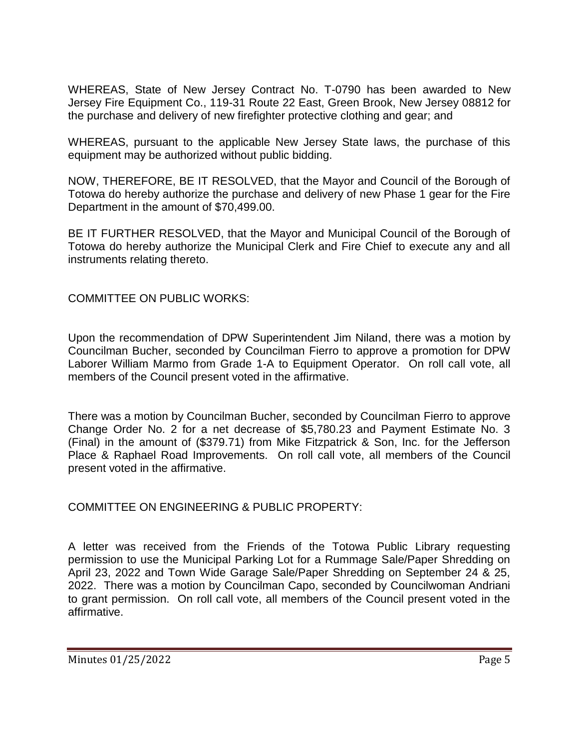WHEREAS, State of New Jersey Contract No. T-0790 has been awarded to New Jersey Fire Equipment Co., 119-31 Route 22 East, Green Brook, New Jersey 08812 for the purchase and delivery of new firefighter protective clothing and gear; and

WHEREAS, pursuant to the applicable New Jersey State laws, the purchase of this equipment may be authorized without public bidding.

NOW, THEREFORE, BE IT RESOLVED, that the Mayor and Council of the Borough of Totowa do hereby authorize the purchase and delivery of new Phase 1 gear for the Fire Department in the amount of \$70,499.00.

BE IT FURTHER RESOLVED, that the Mayor and Municipal Council of the Borough of Totowa do hereby authorize the Municipal Clerk and Fire Chief to execute any and all instruments relating thereto.

COMMITTEE ON PUBLIC WORKS:

Upon the recommendation of DPW Superintendent Jim Niland, there was a motion by Councilman Bucher, seconded by Councilman Fierro to approve a promotion for DPW Laborer William Marmo from Grade 1-A to Equipment Operator. On roll call vote, all members of the Council present voted in the affirmative.

There was a motion by Councilman Bucher, seconded by Councilman Fierro to approve Change Order No. 2 for a net decrease of \$5,780.23 and Payment Estimate No. 3 (Final) in the amount of (\$379.71) from Mike Fitzpatrick & Son, Inc. for the Jefferson Place & Raphael Road Improvements. On roll call vote, all members of the Council present voted in the affirmative.

COMMITTEE ON ENGINEERING & PUBLIC PROPERTY:

A letter was received from the Friends of the Totowa Public Library requesting permission to use the Municipal Parking Lot for a Rummage Sale/Paper Shredding on April 23, 2022 and Town Wide Garage Sale/Paper Shredding on September 24 & 25, 2022. There was a motion by Councilman Capo, seconded by Councilwoman Andriani to grant permission. On roll call vote, all members of the Council present voted in the affirmative.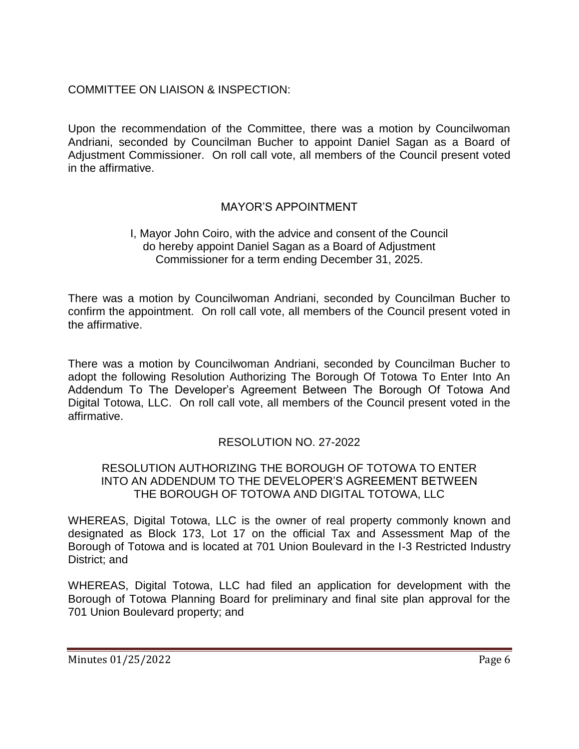# COMMITTEE ON LIAISON & INSPECTION:

Upon the recommendation of the Committee, there was a motion by Councilwoman Andriani, seconded by Councilman Bucher to appoint Daniel Sagan as a Board of Adjustment Commissioner. On roll call vote, all members of the Council present voted in the affirmative.

# MAYOR'S APPOINTMENT

## I, Mayor John Coiro, with the advice and consent of the Council do hereby appoint Daniel Sagan as a Board of Adjustment Commissioner for a term ending December 31, 2025.

There was a motion by Councilwoman Andriani, seconded by Councilman Bucher to confirm the appointment. On roll call vote, all members of the Council present voted in the affirmative.

There was a motion by Councilwoman Andriani, seconded by Councilman Bucher to adopt the following Resolution Authorizing The Borough Of Totowa To Enter Into An Addendum To The Developer's Agreement Between The Borough Of Totowa And Digital Totowa, LLC. On roll call vote, all members of the Council present voted in the affirmative.

# RESOLUTION NO. 27-2022

### RESOLUTION AUTHORIZING THE BOROUGH OF TOTOWA TO ENTER INTO AN ADDENDUM TO THE DEVELOPER'S AGREEMENT BETWEEN THE BOROUGH OF TOTOWA AND DIGITAL TOTOWA, LLC

WHEREAS, Digital Totowa, LLC is the owner of real property commonly known and designated as Block 173, Lot 17 on the official Tax and Assessment Map of the Borough of Totowa and is located at 701 Union Boulevard in the I-3 Restricted Industry District; and

WHEREAS, Digital Totowa, LLC had filed an application for development with the Borough of Totowa Planning Board for preliminary and final site plan approval for the 701 Union Boulevard property; and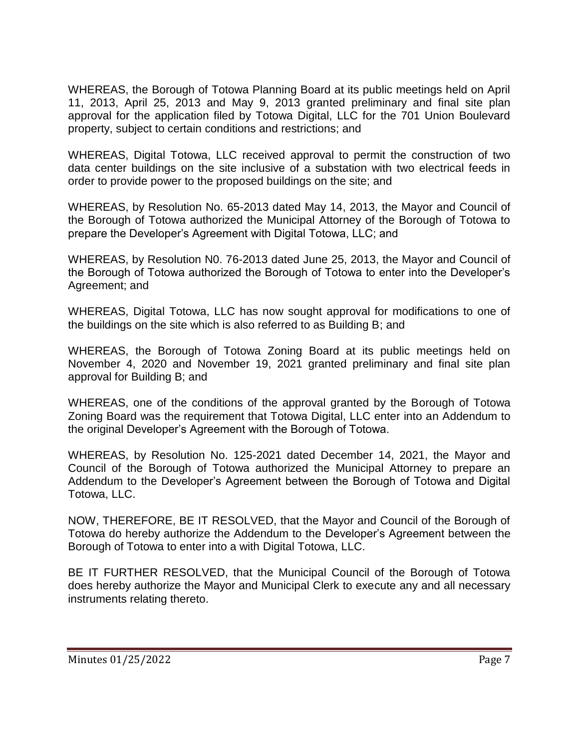WHEREAS, the Borough of Totowa Planning Board at its public meetings held on April 11, 2013, April 25, 2013 and May 9, 2013 granted preliminary and final site plan approval for the application filed by Totowa Digital, LLC for the 701 Union Boulevard property, subject to certain conditions and restrictions; and

WHEREAS, Digital Totowa, LLC received approval to permit the construction of two data center buildings on the site inclusive of a substation with two electrical feeds in order to provide power to the proposed buildings on the site; and

WHEREAS, by Resolution No. 65-2013 dated May 14, 2013, the Mayor and Council of the Borough of Totowa authorized the Municipal Attorney of the Borough of Totowa to prepare the Developer's Agreement with Digital Totowa, LLC; and

WHEREAS, by Resolution N0. 76-2013 dated June 25, 2013, the Mayor and Council of the Borough of Totowa authorized the Borough of Totowa to enter into the Developer's Agreement; and

WHEREAS, Digital Totowa, LLC has now sought approval for modifications to one of the buildings on the site which is also referred to as Building B; and

WHEREAS, the Borough of Totowa Zoning Board at its public meetings held on November 4, 2020 and November 19, 2021 granted preliminary and final site plan approval for Building B; and

WHEREAS, one of the conditions of the approval granted by the Borough of Totowa Zoning Board was the requirement that Totowa Digital, LLC enter into an Addendum to the original Developer's Agreement with the Borough of Totowa.

WHEREAS, by Resolution No. 125-2021 dated December 14, 2021, the Mayor and Council of the Borough of Totowa authorized the Municipal Attorney to prepare an Addendum to the Developer's Agreement between the Borough of Totowa and Digital Totowa, LLC.

NOW, THEREFORE, BE IT RESOLVED, that the Mayor and Council of the Borough of Totowa do hereby authorize the Addendum to the Developer's Agreement between the Borough of Totowa to enter into a with Digital Totowa, LLC.

BE IT FURTHER RESOLVED, that the Municipal Council of the Borough of Totowa does hereby authorize the Mayor and Municipal Clerk to execute any and all necessary instruments relating thereto.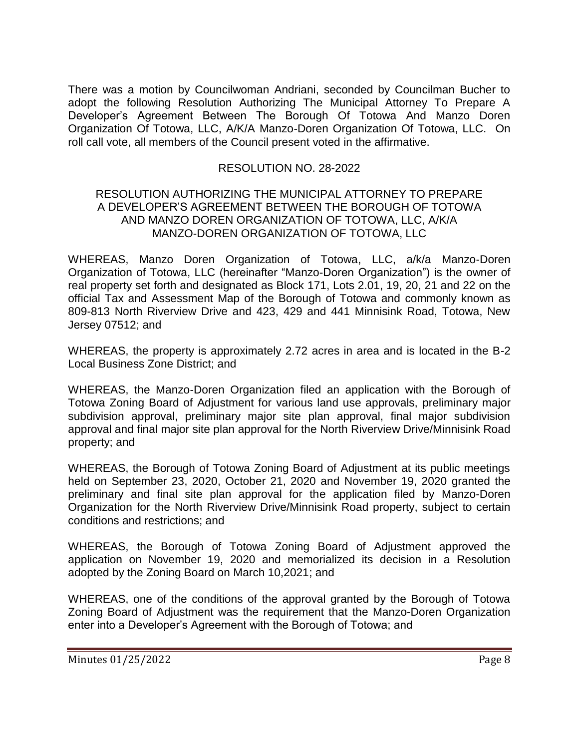There was a motion by Councilwoman Andriani, seconded by Councilman Bucher to adopt the following Resolution Authorizing The Municipal Attorney To Prepare A Developer's Agreement Between The Borough Of Totowa And Manzo Doren Organization Of Totowa, LLC, A/K/A Manzo-Doren Organization Of Totowa, LLC. On roll call vote, all members of the Council present voted in the affirmative.

## RESOLUTION NO. 28-2022

#### RESOLUTION AUTHORIZING THE MUNICIPAL ATTORNEY TO PREPARE A DEVELOPER'S AGREEMENT BETWEEN THE BOROUGH OF TOTOWA AND MANZO DOREN ORGANIZATION OF TOTOWA, LLC, A/K/A MANZO-DOREN ORGANIZATION OF TOTOWA, LLC

WHEREAS, Manzo Doren Organization of Totowa, LLC, a/k/a Manzo-Doren Organization of Totowa, LLC (hereinafter "Manzo-Doren Organization") is the owner of real property set forth and designated as Block 171, Lots 2.01, 19, 20, 21 and 22 on the official Tax and Assessment Map of the Borough of Totowa and commonly known as 809-813 North Riverview Drive and 423, 429 and 441 Minnisink Road, Totowa, New Jersey 07512; and

WHEREAS, the property is approximately 2.72 acres in area and is located in the B-2 Local Business Zone District; and

WHEREAS, the Manzo-Doren Organization filed an application with the Borough of Totowa Zoning Board of Adjustment for various land use approvals, preliminary major subdivision approval, preliminary major site plan approval, final major subdivision approval and final major site plan approval for the North Riverview Drive/Minnisink Road property; and

WHEREAS, the Borough of Totowa Zoning Board of Adjustment at its public meetings held on September 23, 2020, October 21, 2020 and November 19, 2020 granted the preliminary and final site plan approval for the application filed by Manzo-Doren Organization for the North Riverview Drive/Minnisink Road property, subject to certain conditions and restrictions; and

WHEREAS, the Borough of Totowa Zoning Board of Adjustment approved the application on November 19, 2020 and memorialized its decision in a Resolution adopted by the Zoning Board on March 10,2021; and

WHEREAS, one of the conditions of the approval granted by the Borough of Totowa Zoning Board of Adjustment was the requirement that the Manzo-Doren Organization enter into a Developer's Agreement with the Borough of Totowa; and